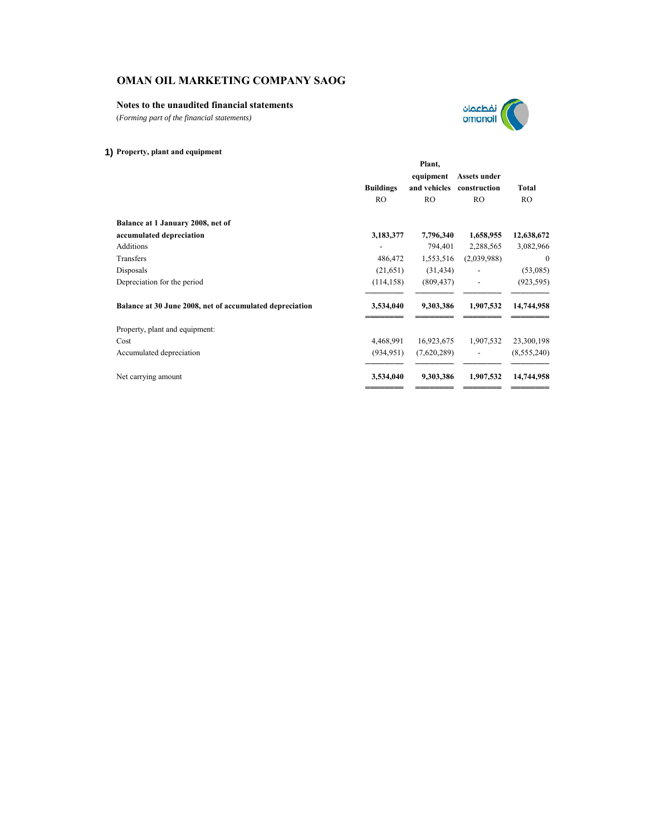## **Notes to the unaudited financial statements**

(*Forming part of the financial statements)*



|                                                          | Plant,           |              |                |              |  |
|----------------------------------------------------------|------------------|--------------|----------------|--------------|--|
|                                                          |                  | equipment    | Assets under   |              |  |
|                                                          | <b>Buildings</b> | and vehicles | construction   | <b>Total</b> |  |
|                                                          | R <sub>O</sub>   | <b>RO</b>    | R <sub>O</sub> | <b>RO</b>    |  |
| Balance at 1 January 2008, net of                        |                  |              |                |              |  |
| accumulated depreciation                                 | 3,183,377        | 7,796,340    | 1,658,955      | 12,638,672   |  |
| <b>Additions</b>                                         |                  | 794,401      | 2,288,565      | 3,082,966    |  |
| Transfers                                                | 486,472          | 1,553,516    | (2,039,988)    | $\mathbf{0}$ |  |
| Disposals                                                | (21, 651)        | (31, 434)    |                | (53,085)     |  |
| Depreciation for the period                              | (114, 158)       | (809, 437)   |                | (923, 595)   |  |
| Balance at 30 June 2008, net of accumulated depreciation | 3,534,040        | 9,303,386    | 1,907,532      | 14,744,958   |  |
| Property, plant and equipment:                           |                  |              |                |              |  |
| Cost                                                     | 4,468,991        | 16,923,675   | 1,907,532      | 23,300,198   |  |
| Accumulated depreciation                                 | (934, 951)       | (7,620,289)  |                | (8,555,240)  |  |
| Net carrying amount                                      | 3,534,040        | 9,303,386    | 1,907,532      | 14,744,958   |  |
|                                                          |                  |              |                |              |  |

نفطعمان<br>omanoil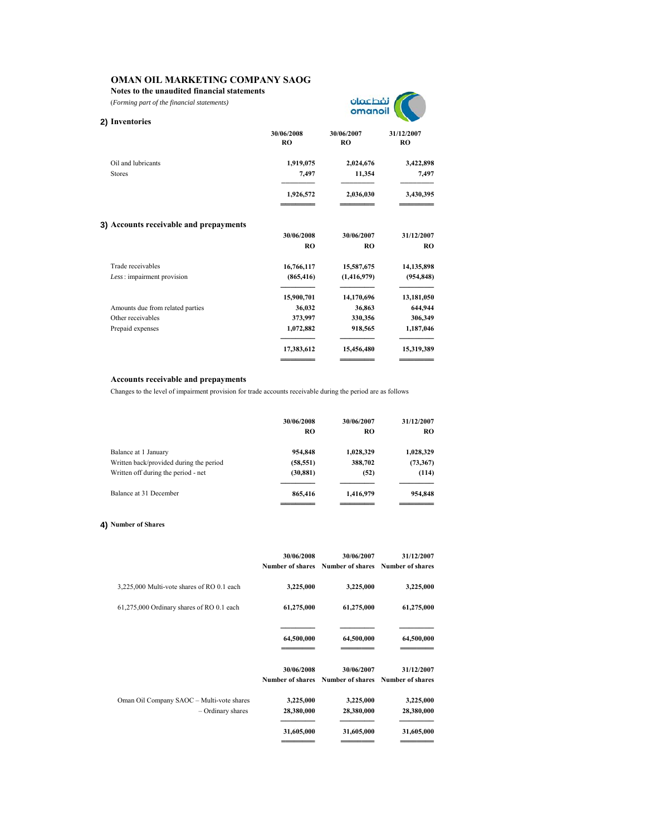**Notes to the unaudited financial statements**

(*Forming part of the financial statements)*



| 2) Inventories                         |                         |                         |                         |
|----------------------------------------|-------------------------|-------------------------|-------------------------|
|                                        | 30/06/2008<br><b>RO</b> | 30/06/2007<br><b>RO</b> | 31/12/2007<br><b>RO</b> |
| Oil and lubricants                     | 1,919,075               | 2,024,676               | 3,422,898               |
| <b>Stores</b>                          | 7,497                   | 11,354                  | 7,497                   |
|                                        | 1,926,572               | 2,036,030               | 3,430,395               |
| 3) Accounts receivable and prepayments |                         |                         |                         |
|                                        | 30/06/2008              | 30/06/2007              | 31/12/2007              |
|                                        | R <sub>O</sub>          | R <sub>O</sub>          | <b>RO</b>               |
| Trade receivables                      | 16,766,117              | 15,587,675              | 14,135,898              |
| Less: impairment provision             | (865, 416)              | (1,416,979)             | (954, 848)              |
|                                        | 15,900,701              | 14,170,696              | 13,181,050              |
| Amounts due from related parties       | 36,032                  | 36,863                  | 644,944                 |
| Other receivables                      | 373,997                 | 330,356                 | 306,349                 |
| Prepaid expenses                       | 1,072,882               | 918,565                 | 1,187,046               |
|                                        | 17,383,612              | 15,456,480              | 15,319,389              |
|                                        |                         |                         |                         |

## **Accounts receivable and prepayments**

Changes to the level of impairment provision for trade accounts receivable during the period are as follows

|                                         | 30/06/2008<br>RO | 30/06/2007<br>RO | 31/12/2007<br><b>RO</b> |
|-----------------------------------------|------------------|------------------|-------------------------|
| Balance at 1 January                    | 954,848          | 1,028,329        | 1,028,329               |
| Written back/provided during the period | (58, 551)        | 388,702          | (73, 367)               |
| Written off during the period - net     | (30, 881)        | (52)             | (114)                   |
| Balance at 31 December                  | 865,416          | 1,416,979        | 954,848                 |
|                                         |                  |                  |                         |

# **4) Number of Shares**

|                                                                  | 30/06/2008              | 30/06/2007<br>Number of shares Number of shares Number of shares | 31/12/2007              |
|------------------------------------------------------------------|-------------------------|------------------------------------------------------------------|-------------------------|
| 3,225,000 Multi-vote shares of RO 0.1 each                       | 3,225,000               | 3,225,000                                                        | 3,225,000               |
| 61,275,000 Ordinary shares of RO 0.1 each                        | 61,275,000              | 61,275,000                                                       | 61,275,000              |
|                                                                  | 64,500,000              | 64,500,000                                                       | 64,500,000              |
|                                                                  | 30/06/2008              | 30/06/2007<br>Number of shares Number of shares Number of shares | 31/12/2007              |
| Oman Oil Company SAOC - Multi-vote shares<br>$-$ Ordinary shares | 3,225,000<br>28,380,000 | 3,225,000<br>28,380,000                                          | 3,225,000<br>28,380,000 |
|                                                                  | 31,605,000              | 31,605,000                                                       | 31,605,000              |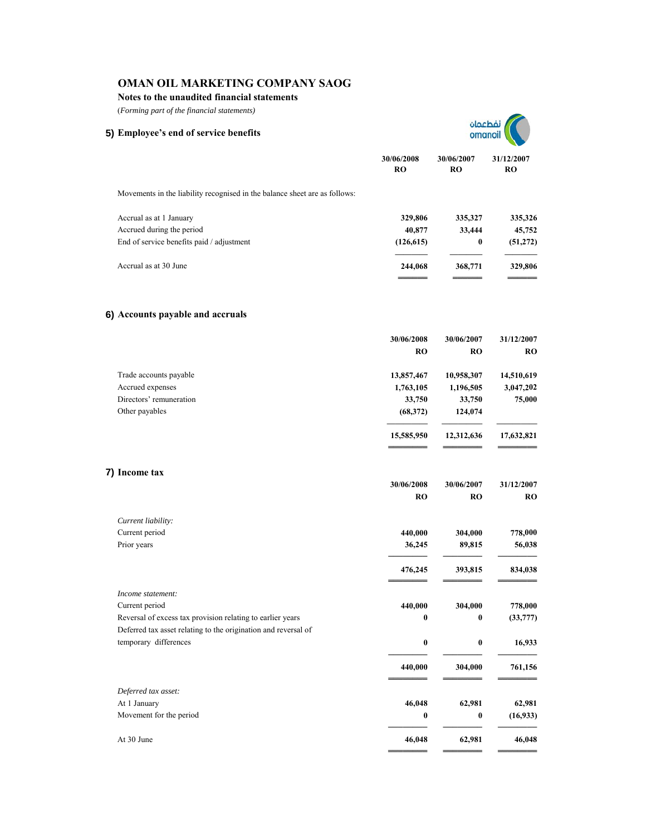**Notes to the unaudited financial statements**

(*Forming part of the financial statements)*

| (Forming part of the financial statements)                                              |                         |                         |                         |
|-----------------------------------------------------------------------------------------|-------------------------|-------------------------|-------------------------|
| 5) Employee's end of service benefits                                                   |                         |                         |                         |
|                                                                                         | 30/06/2008<br><b>RO</b> | 30/06/2007<br>RO        | 31/12/2007<br><b>RO</b> |
| Movements in the liability recognised in the balance sheet are as follows:              |                         |                         |                         |
| Accrual as at 1 January                                                                 | 329,806                 | 335,327                 | 335,326                 |
| Accrued during the period                                                               | 40,877                  | 33,444                  | 45,752                  |
| End of service benefits paid / adjustment                                               | (126, 615)              | $\bf{0}$                | (51, 272)               |
| Accrual as at 30 June                                                                   | 244,068                 | 368,771                 | 329,806                 |
| 6) Accounts payable and accruals                                                        |                         |                         |                         |
|                                                                                         | 30/06/2008              | 30/06/2007              | 31/12/2007              |
|                                                                                         | <b>RO</b>               | <b>RO</b>               | RO                      |
| Trade accounts payable                                                                  | 13,857,467              | 10,958,307              | 14,510,619              |
| Accrued expenses                                                                        | 1,763,105               | 1,196,505               | 3,047,202               |
| Directors' remuneration                                                                 | 33,750                  | 33,750                  | 75,000                  |
| Other payables                                                                          | (68, 372)               | 124,074                 |                         |
|                                                                                         | 15,585,950              | 12,312,636              | 17,632,821              |
| 7) Income tax                                                                           |                         |                         |                         |
|                                                                                         | 30/06/2008<br><b>RO</b> | 30/06/2007<br><b>RO</b> | 31/12/2007<br>RO        |
|                                                                                         |                         |                         |                         |
| Current liability:<br>Current period                                                    | 440,000                 | 304,000                 | 778,000                 |
| Prior years                                                                             | 36,245                  | 89,815                  | 56,038                  |
|                                                                                         | 476,245                 | 393,815                 | 834,038                 |
| Income statement:                                                                       |                         |                         |                         |
| Current period                                                                          | 440,000                 | 304,000                 | 778,000                 |
| Reversal of excess tax provision relating to earlier years                              | 0                       | $\bf{0}$                | (33,777)                |
| Deferred tax asset relating to the origination and reversal of<br>temporary differences | $\bf{0}$                | $\bf{0}$                | 16,933                  |
|                                                                                         |                         |                         |                         |
|                                                                                         | 440,000                 | 304,000                 | 761,156                 |
| Deferred tax asset:                                                                     |                         |                         |                         |
| At 1 January                                                                            | 46,048                  | 62,981                  | 62,981                  |
| Movement for the period                                                                 | 0                       | $\bf{0}$                | (16, 933)               |
| At 30 June                                                                              | 46,048                  | 62,981                  | 46,048                  |
|                                                                                         |                         |                         |                         |